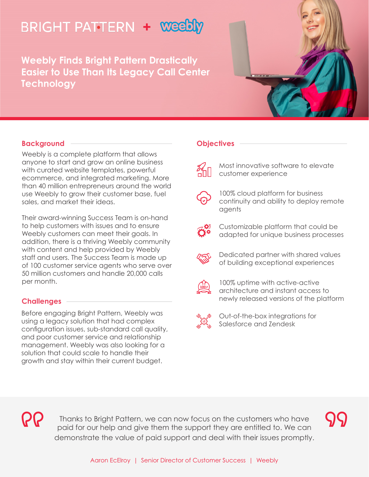# **BRIGHT PATTERN + WeeDLY**

**Weebly Finds Bright Pattern Drastically Easier to Use Than Its Legacy Call Center Technology** 



## **Background**

Weebly is a complete platform that allows anyone to start and grow an online business with curated website templates, powerful ecommerce, and integrated marketing. More than 40 million entrepreneurs around the world use Weebly to grow their customer base, fuel sales, and market their ideas.

Their award-winning Success Team is on-hand to help customers with issues and to ensure Weebly customers can meet their goals. In addition, there is a thriving Weebly community with content and help provided by Weebly staff and users. The Success Team is made up of 100 customer service agents who serve over 50 million customers and handle 20,000 calls per month.

### **Challenges**

Before engaging Bright Pattern, Weebly was using a legacy solution that had complex configuration issues, sub-standard call quality, and poor customer service and relationship management. Weebly was also looking for a solution that could scale to handle their growth and stay within their current budget.

#### **Objectives**



Most innovative software to elevate customer experience



100% cloud platform for business continuity and ability to deploy remote agents



Customizable platform that could be adapted for unique business processes



Dedicated partner with shared values of building exceptional experiences



100% uptime with active-active architecture and instant access to newly released versions of the platform



Out-of-the-box integrations for Salesforce and Zendesk

R

Thanks to Bright Pattern, we can now focus on the customers who have paid for our help and give them the support they are entitled to. We can demonstrate the value of paid support and deal with their issues promptly.